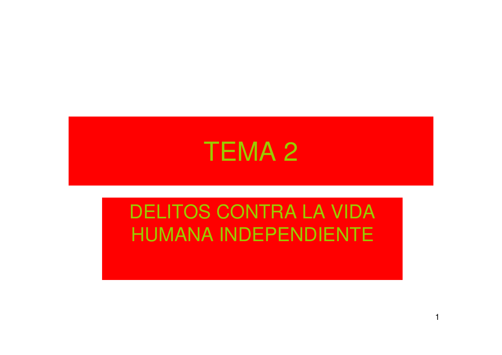

#### DELITOS CONTRA LA VIDA HUMANA INDEPENDIENTE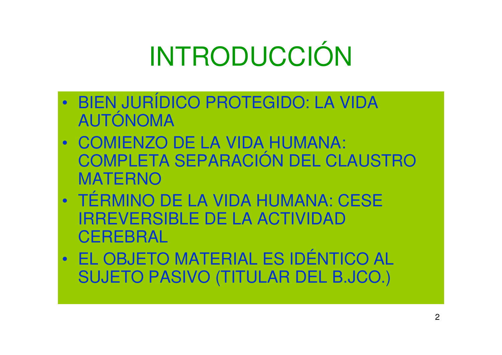# INTRODUCCIÓN

- $\bullet$  BIEN JURÍDICO PROTEGIDO: LA VIDA AUTÓNOMA
- COMIENZO DE LA VIDA HUMANA: COMPLETA SEPARACIÓN DEL CLAUSTRO MATERNO
- $\bullet$  lesmini TÉRMINO DE LA VIDA HUMANA: CESE IRREVERSIBLE DE LA ACTIVIDAD **CEREBRAL**
- $\bullet$  EL OBJETO MATERIAL ES IDÉNTICO AL SUJETO PASIVO (TITULAR DEL B.JCO.)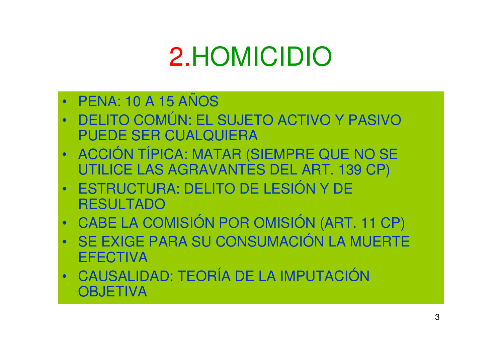### 2.HOMICIDIO

- $\bullet$ PENA: 10 A 15 AÑOS
- DELITO COMÚN: EL SUJETO ACTIVO Y PASIVO •PUEDE SER CUALQUIERA
- ACCION TIPICA· MATAR / ACCIÓN TÍPICA: MATAR (SIEMPRE QUE NO SE UTILICE LAS AGRAVANTES DEL ART. 139 CP)
- • ESTRUCTURA: DELITO DE LESIÓN Y DE RESULTADO
- (:ARFIA(: CABE LA COMISIÓN POR OMISIÓN (ART. 11 CP)
- SE EXIGE PARA SU CONSUMACIÓN LA MUERTE •**EFECTIVA**
- $\bullet$  cairai CAUSALIDAD: TEORÍA DE LA IMPUTACIÓN **OBJETIVA**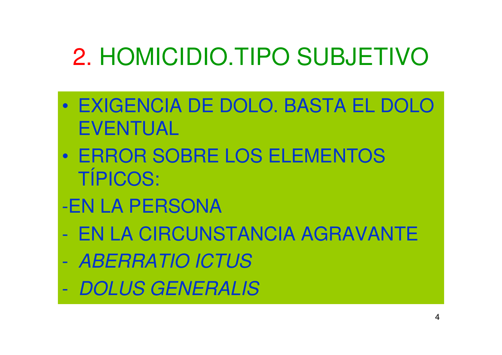### 2. HOMICIDIO.TIPO SUBJETIVO

- $\bullet$  EXIGENCIA DE DOLO. BASTA EL DOLO EVENTUAL
- $\bullet$  ERROR SOBRE LOS ELEMENTOS TÍPICOS:
- -EN LA PERSONA
- EN LA CIRCUNSTANCIA AGRAVANTE
- ABERRATIO ICTUS
- $\mathcal{L}_{\mathcal{A}}$  -size  $\mathcal{L}_{\mathcal{A}}$  -size  $\mathcal{L}_{\mathcal{A}}$ DOLUS GENERALIS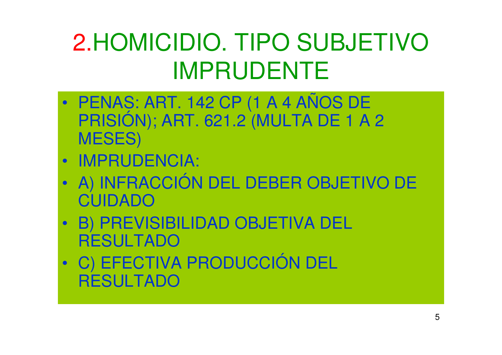### 2.HOMICIDIO. TIPO SUBJETIVO IMPRUDENTE

- $\bullet$ PRISIÓN); ART. 621.2 (MULTA DE 1 A 2 MESES)
- IMPRUDENCIA:
- $\bullet$  A) INFRACCIÓN DEL DEBER OBJETIVO DE CUIDADO
- B) PREVISIBILIDAD OBJETIVA DEL RESULTADO
- • • • • • • • C) EFECTIVA PRODUCCIÓN DEL **RESULTADO**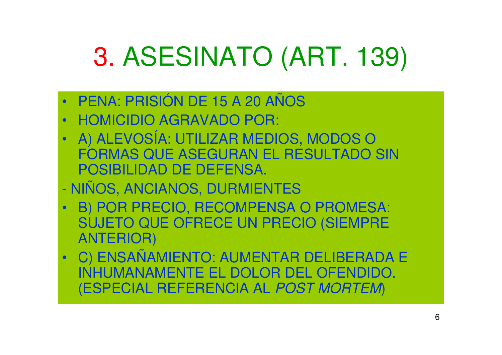# 3. ASESINATO (ART. 139)

- $\bullet$ PENA: PRISIÓN DE 15 A 20 AÑOS
- HOMICIDIO AGRAVADO POR:
- $\bullet$  A) ALEVOSÍA: UTILIZAR MEDIOS, MODOS O FORMAS QUE ASEGURAN EL RESULTADO SIN POSIBILIDAD DE DEFENSA.
- NIÑOS, ANCIANOS, DURMIENTES
- B) POR PRECIO, RECOMPENSA O PROMESA:  $\bullet$ SUJETO QUE OFRECE UN PRECIO (SIEMPRE ANTERIOR)
- $\bullet$  C) ENSAÑAMIENTO: AUMENTAR DELIBERADA E INHUMANAMENTE EL DOLOR DEL OFENDIDO. (ESPECIAL REFERENCIA AL POST MORTEM)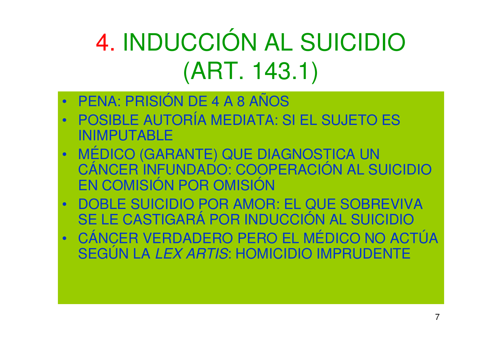# 4. INDUCCIÓN AL SUICIDIO (ART. 143.1)

- •PENA: PRISIÓN DE 4 A 8 AÑOS
- POSIBLE AUTORÍA MEDIATA: SI EL SUJETO ES  $\bullet$ INIMPUTABLE
- MÉDICO (GARANTE) QUE DIAGNOSTICA UN •CÁNCER INFUNDADO: COOPERACIÓN AL SUICIDIO EN COMISIÓN POR OMISIÓN
- DOBLE SUICIDIO POR AMOR: EL QUE SOBREVIVA •SE LE CASTIGARÁ POR INDUCCIÓN AL SUICIDIO
- $\bullet$  CÁNCER VERDADERO PERO EL MÉDICO NO ACTÚA SEGÚN LA LEX ARTIS: HOMICIDIO IMPRUDENTE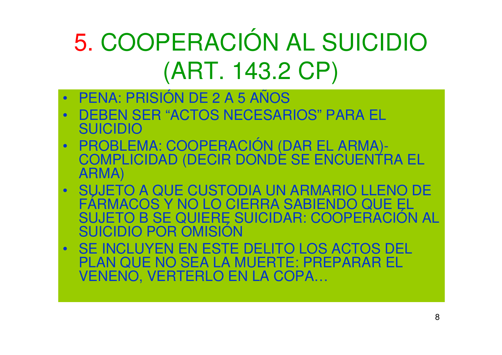### 5. COOPERACIÓN AL SUICIDIO (ART. 143.2 CP)

- $\bullet$ PENA: PRISIÓN DE 2 A 5 AÑOS
- DEBEN SER "ACTOS NECESARIOS" PARA EL •SUICIDIO
- • PROBLEMA: COOPERACIÓN (DAR EL ARMA)- COMPLICIDAD (DECIR DONDE SE ENCUENTRA EL ARMA)
- SUJETO A QUE CUSTODIA UN ARMARIO LLENO DE  $\bullet$ FÁRMACOS Y NO LO CIERRA SABIENDO QUE EL<br>SUJETO B SE QUIERE SUICIDAR: COOPERACIÓN AL<br>SUICIDIO POR OMISIÓN
- SE INCLUYEN EN ESTE DELITO LOS ACTOS DEL PLAN QUE NO SEA LA MUERTE: PREPARAR EL VENENO, VERTERLO EN LA COPA…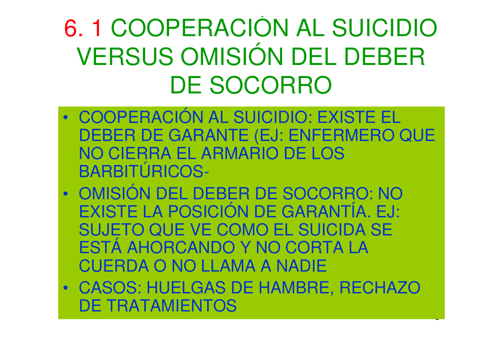### 6. 1 COOPERACIÓN AL SUICIDIO VERSUS OMISIÓN DEL DEBER DE SOCORRO

- COOPERACION AL SHICIDIO: COOPERACIÓN AL SUICIDIO: EXISTE EL DEBER DE GARANTE (EJ: ENFERMERO QUE NO CIERRA EL ARMARIO DE LOS BARBITÚRICOS-
- $\bullet$  OMISIÓN DEL DEBER DE SOCORRO: NO EXISTE LA POSICIÓN DE GARANTÍA. EJ: SUJETO QUE VE COMO EL SUICIDA SE ESTÁ AHORCANDO Y NO CORTA LA CUERDA O NO LLAMA A NADIE
- CASOS: HUELGAS DE HAMBRE, RECHAZO •DE TRATAMIENTOS

U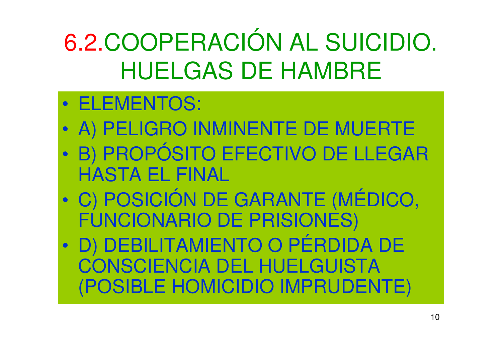6.2.COOPERACIÓN AL SUICIDIO. HUELGAS DE HAMBRE

- $\bullet$ ELEMENTOS:
- $\bullet$ A) PELIGRO INMINENTE DE MUERTE
- BI PROPOSITO FFFCTIVO DE LLEG B) PROPÓSITO EFECTIVO DE LLEGAR HASTA EL FINAL
- $\bullet$  C) POSICIÓN DE GARANTE (MÉDICO, FUNCIONARIO DE PRISIONES)
- $\bullet$  D) DEBILITAMIENTO O PÉRDIDA DE CONSCIENCIA DEL HUELGUISTA (POSIBLE HOMICIDIO IMPRUDENTE)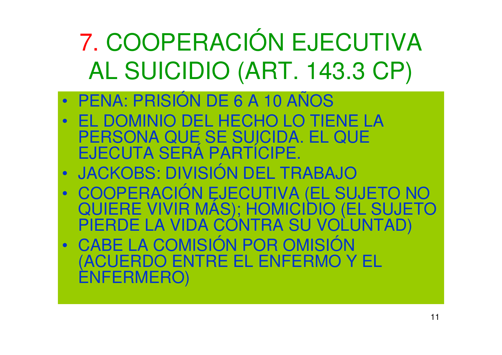7. COOPERACIÓN EJECUTIVA AL SUICIDIO (ART. 143.3 CP)

- $\bullet$ PENA: PRISIÓN DE 6 A 10 AÑOS
- EL DOMINIO DEL HECHO LO TIENE LA  $\bullet$ PERSONA QUE SE SUICIDA. EL QUE<br>EJECUTA SERÁ PARTÍCIPE.
- $\bullet$ JACKOBS: DIVISIÓN DEL TRABAJO
- •COOPERACIÓN EJECUTIVA (EL SUJETO NO QUIERE VIVIR MÁS); HOMICIDIO (EL SUJETO PIERDE LA VIDA CONTRA SU VOLUNTAD)
- $\bullet$  CABE LA COMISIÓN POR OMISIÓN (ACUERDO ENTRE EL ENFERMO Y EL ENFERMERO)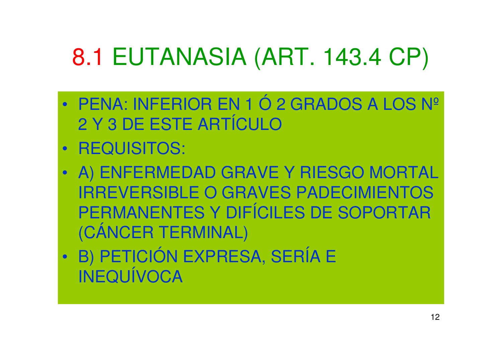# 8.1 EUTANASIA (ART. 143.4 CP)

- $\bullet$  PENA: INFERIOR EN 1 Ó 2 GRADOS A LOS Nº2 Y 3 DE ESTE ARTÍCULO
- REQUISITOS:
- A) ENFERMEDAD GRAVE Y RIESGO MORTAL IRREVERSIBLE O GRAVES PADECIMIENTOS PERMANENTES Y DIFÍCILES DE SOPORTAR (CÁNCER TERMINAL)
- $\bullet$  B) PETICIÓN EXPRESA, SERÍA E INEQUÍVOCA